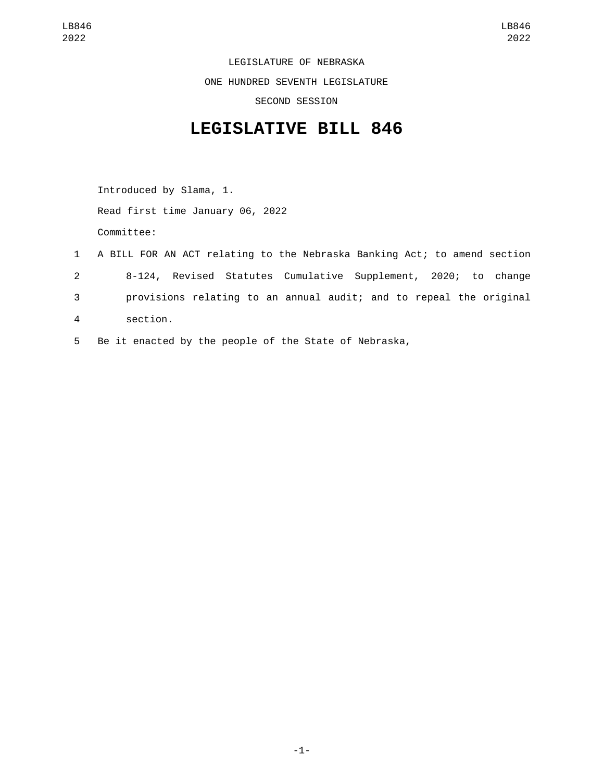LEGISLATURE OF NEBRASKA ONE HUNDRED SEVENTH LEGISLATURE SECOND SESSION

## **LEGISLATIVE BILL 846**

Introduced by Slama, 1. Read first time January 06, 2022 Committee:

- 1 A BILL FOR AN ACT relating to the Nebraska Banking Act; to amend section 2 8-124, Revised Statutes Cumulative Supplement, 2020; to change 3 provisions relating to an annual audit; and to repeal the original section.4
- 5 Be it enacted by the people of the State of Nebraska,